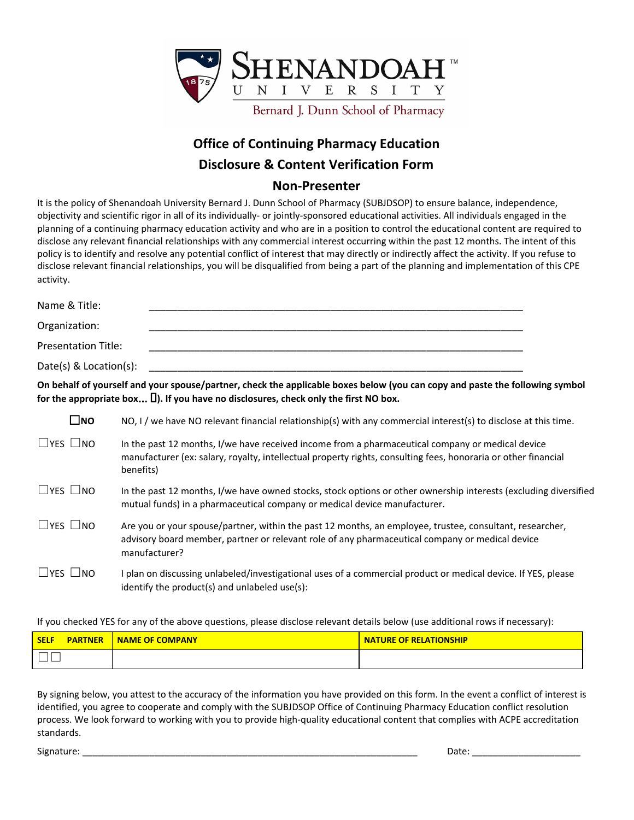

## **Office of Continuing Pharmacy Education Disclosure & Content Verification Form**

## **Non-Presenter**

It is the policy of Shenandoah University Bernard J. Dunn School of Pharmacy (SUBJDSOP) to ensure balance, independence, objectivity and scientific rigor in all of its individually- or jointly-sponsored educational activities. All individuals engaged in the planning of a continuing pharmacy education activity and who are in a position to control the educational content are required to disclose any relevant financial relationships with any commercial interest occurring within the past 12 months. The intent of this policy is to identify and resolve any potential conflict of interest that may directly or indirectly affect the activity. If you refuse to disclose relevant financial relationships, you will be disqualified from being a part of the planning and implementation of this CPE activity.

| Name & Title:              |                                                                                                                                                                                                                                 |
|----------------------------|---------------------------------------------------------------------------------------------------------------------------------------------------------------------------------------------------------------------------------|
| Organization:              |                                                                                                                                                                                                                                 |
| <b>Presentation Title:</b> |                                                                                                                                                                                                                                 |
| Date(s) $& Location(s):$   |                                                                                                                                                                                                                                 |
|                            | On behalf of yourself and your spouse/partner, check the applicable boxes below (you can copy and paste the following symbol<br>for the appropriate box $\square$ ). If you have no disclosures, check only the first NO box.   |
| $\square$ NO               | NO, I / we have NO relevant financial relationship(s) with any commercial interest(s) to disclose at this time.                                                                                                                 |
| $\Box$ YES $\Box$ NO       | In the past 12 months, I/we have received income from a pharmaceutical company or medical device<br>manufacturer (ex: salary, royalty, intellectual property rights, consulting fees, honoraria or other financial<br>benefits) |
| $\sqcup$ yes $\sqcup$ no   | In the past 12 months, I/we have owned stocks, stock options or other ownership interests (excluding diversified<br>mutual funds) in a pharmaceutical company or medical device manufacturer.                                   |
| $\square$ yes $\square$ no | Are you or your spouse/partner, within the past 12 months, an employee, trustee, consultant, researcher,<br>advisory board member, partner or relevant role of any pharmaceutical company or medical device<br>manufacturer?    |
| $\Box$ YES $\Box$ NO       | I plan on discussing unlabeled/investigational uses of a commercial product or medical device. If YES, please                                                                                                                   |

If you checked YES for any of the above questions, please disclose relevant details below (use additional rows if necessary):

identify the product(s) and unlabeled use(s):

| <b>PARTNER</b><br><b>SELF</b> | <b>NAME OF COMPANY</b> | <b>NATURE OF RELATIONSHIP</b> |
|-------------------------------|------------------------|-------------------------------|
|                               |                        |                               |

By signing below, you attest to the accuracy of the information you have provided on this form. In the event a conflict of interest is identified, you agree to cooperate and comply with the SUBJDSOP Office of Continuing Pharmacy Education conflict resolution process. We look forward to working with you to provide high-quality educational content that complies with ACPE accreditation standards.

Signature: \_\_\_\_\_\_\_\_\_\_\_\_\_\_\_\_\_\_\_\_\_\_\_\_\_\_\_\_\_\_\_\_\_\_\_\_\_\_\_\_\_\_\_\_\_\_\_\_\_\_\_\_\_\_\_\_\_\_\_\_\_\_\_\_\_ Date: \_\_\_\_\_\_\_\_\_\_\_\_\_\_\_\_\_\_\_\_\_